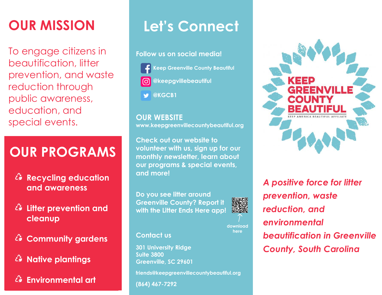# **OUR MISSION**

To engage citizens in beautification, litter prevention, and waste reduction through public awareness, education, and special events.

# **OUR PROGRAMS**

- *Le* Recycling education **and awareness**
- **Litter prevention and**   $\vec{c}$ **cleanup**
- **Community gardens**
- **Native plantings**
- **Environmental art**

# **Let's Connect**

**Follow us on social media!**

- **Keep Greenville County Beautiful @keepgvillebeautiful**
- **@KGCB1**

### **OUR WEBSITE**

**www.keepgreenvillecountybeautiful.org**

**Check out our website to volunteer with us, sign up for our monthly newsletter, learn about our programs & special events, and more!**

**Do you see litter around Greenville County? Report it with the Litter Ends Here app!**



**download here**

#### **Contact us**

**301 University Ridge Suite 3800 Greenville, SC 29601**

**friends@keepgreenvillecountybeautiful.org**

**(864) 467-7292**



*A positive force for litter prevention, waste reduction, and environmental beautification in Greenville County, South Carolina*